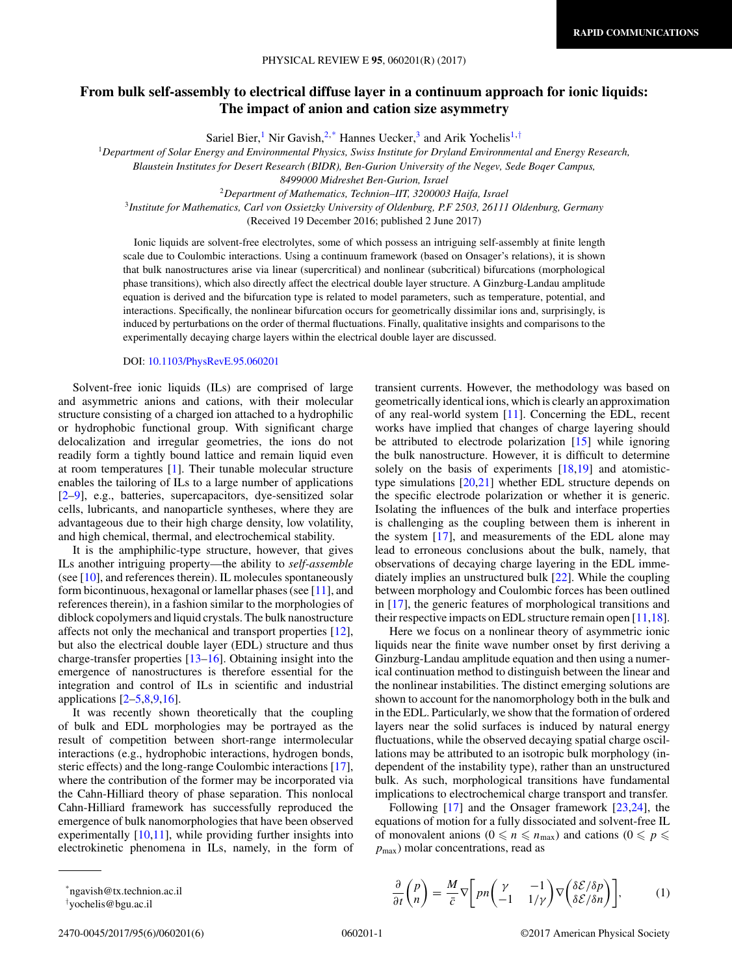# **From bulk self-assembly to electrical diffuse layer in a continuum approach for ionic liquids: The impact of anion and cation size asymmetry**

Sariel Bier,<sup>1</sup> Nir Gavish,<sup>2,\*</sup> Hannes Uecker,<sup>3</sup> and Arik Yochelis<sup>1,†</sup>

<sup>1</sup>*Department of Solar Energy and Environmental Physics, Swiss Institute for Dryland Environmental and Energy Research,*

*Blaustein Institutes for Desert Research (BIDR), Ben-Gurion University of the Negev, Sede Boqer Campus,*

*8499000 Midreshet Ben-Gurion, Israel*

<sup>2</sup>*Department of Mathematics, Technion–IIT, 3200003 Haifa, Israel*

<sup>3</sup>*Institute for Mathematics, Carl von Ossietzky University of Oldenburg, P.F 2503, 26111 Oldenburg, Germany*

(Received 19 December 2016; published 2 June 2017)

Ionic liquids are solvent-free electrolytes, some of which possess an intriguing self-assembly at finite length scale due to Coulombic interactions. Using a continuum framework (based on Onsager's relations), it is shown that bulk nanostructures arise via linear (supercritical) and nonlinear (subcritical) bifurcations (morphological phase transitions), which also directly affect the electrical double layer structure. A Ginzburg-Landau amplitude equation is derived and the bifurcation type is related to model parameters, such as temperature, potential, and interactions. Specifically, the nonlinear bifurcation occurs for geometrically dissimilar ions and, surprisingly, is induced by perturbations on the order of thermal fluctuations. Finally, qualitative insights and comparisons to the experimentally decaying charge layers within the electrical double layer are discussed.

DOI: [10.1103/PhysRevE.95.060201](https://doi.org/10.1103/PhysRevE.95.060201)

Solvent-free ionic liquids (ILs) are comprised of large and asymmetric anions and cations, with their molecular structure consisting of a charged ion attached to a hydrophilic or hydrophobic functional group. With significant charge delocalization and irregular geometries, the ions do not readily form a tightly bound lattice and remain liquid even at room temperatures [\[1\]](#page-4-0). Their tunable molecular structure enables the tailoring of ILs to a large number of applications [\[2–9\]](#page-4-0), e.g., batteries, supercapacitors, dye-sensitized solar cells, lubricants, and nanoparticle syntheses, where they are advantageous due to their high charge density, low volatility, and high chemical, thermal, and electrochemical stability.

It is the amphiphilic-type structure, however, that gives ILs another intriguing property—the ability to *self-assemble* (see  $[10]$ , and references therein). IL molecules spontaneously form bicontinuous, hexagonal or lamellar phases (see  $[11]$ , and references therein), in a fashion similar to the morphologies of diblock copolymers and liquid crystals. The bulk nanostructure affects not only the mechanical and transport properties [\[12\]](#page-4-0), but also the electrical double layer (EDL) structure and thus charge-transfer properties [\[13–16\]](#page-4-0). Obtaining insight into the emergence of nanostructures is therefore essential for the integration and control of ILs in scientific and industrial applications  $[2-5,8,9,16]$ .

It was recently shown theoretically that the coupling of bulk and EDL morphologies may be portrayed as the result of competition between short-range intermolecular interactions (e.g., hydrophobic interactions, hydrogen bonds, steric effects) and the long-range Coulombic interactions [\[17\]](#page-4-0), where the contribution of the former may be incorporated via the Cahn-Hilliard theory of phase separation. This nonlocal Cahn-Hilliard framework has successfully reproduced the emergence of bulk nanomorphologies that have been observed experimentally [\[10,11\]](#page-4-0), while providing further insights into electrokinetic phenomena in ILs, namely, in the form of transient currents. However, the methodology was based on geometrically identical ions, which is clearly an approximation of any real-world system [\[11\]](#page-4-0). Concerning the EDL, recent works have implied that changes of charge layering should be attributed to electrode polarization [\[15\]](#page-4-0) while ignoring the bulk nanostructure. However, it is difficult to determine solely on the basis of experiments  $[18,19]$  and atomistictype simulations [\[20,21\]](#page-4-0) whether EDL structure depends on the specific electrode polarization or whether it is generic. Isolating the influences of the bulk and interface properties is challenging as the coupling between them is inherent in the system [\[17\]](#page-4-0), and measurements of the EDL alone may lead to erroneous conclusions about the bulk, namely, that observations of decaying charge layering in the EDL immediately implies an unstructured bulk [\[22\]](#page-4-0). While the coupling between morphology and Coulombic forces has been outlined in [\[17\]](#page-4-0), the generic features of morphological transitions and their respective impacts on EDL structure remain open [\[11,18\]](#page-4-0).

Here we focus on a nonlinear theory of asymmetric ionic liquids near the finite wave number onset by first deriving a Ginzburg-Landau amplitude equation and then using a numerical continuation method to distinguish between the linear and the nonlinear instabilities. The distinct emerging solutions are shown to account for the nanomorphology both in the bulk and in the EDL. Particularly, we show that the formation of ordered layers near the solid surfaces is induced by natural energy fluctuations, while the observed decaying spatial charge oscillations may be attributed to an isotropic bulk morphology (independent of the instability type), rather than an unstructured bulk. As such, morphological transitions have fundamental implications to electrochemical charge transport and transfer.

Following [\[17\]](#page-4-0) and the Onsager framework [\[23,24\]](#page-4-0), the equations of motion for a fully dissociated and solvent-free IL of monovalent anions ( $0 \le n \le n_{\text{max}}$ ) and cations ( $0 \le p \le n$  $p_{\text{max}}$ ) molar concentrations, read as

 $\frac{\partial}{\partial t}$   $\begin{pmatrix} p \\ n \end{pmatrix}$ *n*

<sup>\*</sup>ngavish@tx.technion.ac.il

<sup>†</sup> yochelis@bgu.ac.il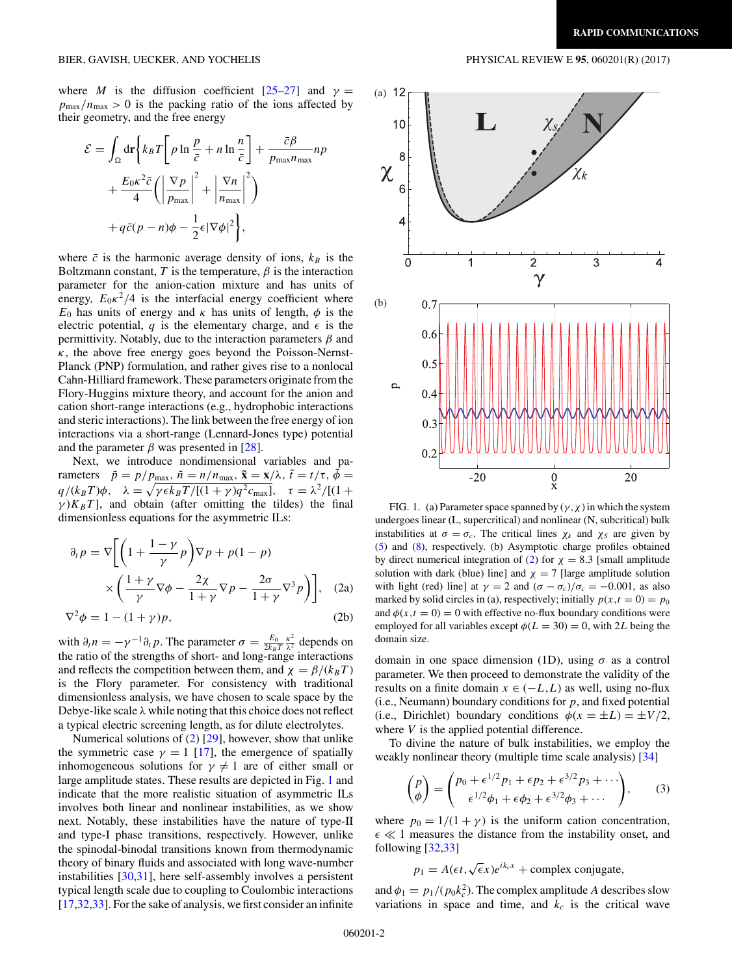<span id="page-1-0"></span>where *M* is the diffusion coefficient  $[25-27]$  and  $\gamma =$  $p_{\text{max}}/n_{\text{max}} > 0$  is the packing ratio of the ions affected by their geometry, and the free energy

$$
\mathcal{E} = \int_{\Omega} d\mathbf{r} \left\{ k_B T \left[ p \ln \frac{p}{\bar{c}} + n \ln \frac{n}{\bar{c}} \right] + \frac{\bar{c}\beta}{p_{\text{max}} n_{\text{max}}} n p + \frac{E_0 \kappa^2 \bar{c}}{4} \left( \left| \frac{\nabla p}{p_{\text{max}}} \right|^2 + \left| \frac{\nabla n}{n_{\text{max}}} \right|^2 \right) + q \bar{c} (p - n) \phi - \frac{1}{2} \epsilon |\nabla \phi|^2 \right\},\
$$

where  $\bar{c}$  is the harmonic average density of ions,  $k_B$  is the Boltzmann constant,  $T$  is the temperature,  $\beta$  is the interaction parameter for the anion-cation mixture and has units of energy,  $E_0 \kappa^2/4$  is the interfacial energy coefficient where  $E_0$  has units of energy and  $\kappa$  has units of length,  $\phi$  is the electric potential,  $q$  is the elementary charge, and  $\epsilon$  is the permittivity. Notably, due to the interaction parameters *β* and  $\kappa$ , the above free energy goes beyond the Poisson-Nernst-Planck (PNP) formulation, and rather gives rise to a nonlocal Cahn-Hilliard framework. These parameters originate from the Flory-Huggins mixture theory, and account for the anion and cation short-range interactions (e.g., hydrophobic interactions and steric interactions). The link between the free energy of ion interactions via a short-range (Lennard-Jones type) potential and the parameter  $\beta$  was presented in [\[28\]](#page-4-0).

Next, we introduce nondimensional variables and parameters  $\tilde{p} = p/p_{\text{max}}$ ,  $\tilde{n} = n/n_{\text{max}}$ ,  $\tilde{\mathbf{x}} = \mathbf{x}/\lambda$ ,  $\tilde{t} = t/\tau$ ,  $\tilde{\phi} =$ *q*/(*k*<sub>*B</sub>T*) $\phi$ *,*  $\lambda = \sqrt{\gamma \epsilon k_B T /[(1 + \gamma)q^2 c_{\text{max}}]}$ ,  $\tau = \lambda^2 /[(1 +$ </sub>  $\gamma$ ) $K_B T$ ], and obtain (after omitting the tildes) the final dimensionless equations for the asymmetric ILs:

$$
\partial_t p = \nabla \left[ \left( 1 + \frac{1 - \gamma}{\gamma} p \right) \nabla p + p(1 - p) \times \left( \frac{1 + \gamma}{\gamma} \nabla \phi - \frac{2\chi}{1 + \gamma} \nabla p - \frac{2\sigma}{1 + \gamma} \nabla^3 p \right) \right], \quad (2a)
$$

$$
\nabla^2 \phi = 1 - (1 + \gamma)p,\tag{2b}
$$

with  $\partial_t n = -\gamma^{-1} \partial_t p$ . The parameter  $\sigma = \frac{E_0}{2k_B T}$  $\frac{\kappa^2}{\lambda^2}$  depends on the ratio of the strengths of short- and long-range interactions and reflects the competition between them, and  $\chi = \beta/(k_B T)$ is the Flory parameter. For consistency with traditional dimensionless analysis, we have chosen to scale space by the Debye-like scale *λ* while noting that this choice does not reflect a typical electric screening length, as for dilute electrolytes.

Numerical solutions of (2) [\[29\]](#page-4-0), however, show that unlike the symmetric case  $\gamma = 1$  [\[17\]](#page-4-0), the emergence of spatially inhomogeneous solutions for  $\gamma \neq 1$  are of either small or large amplitude states. These results are depicted in Fig. 1 and indicate that the more realistic situation of asymmetric ILs involves both linear and nonlinear instabilities, as we show next. Notably, these instabilities have the nature of type-II and type-I phase transitions, respectively. However, unlike the spinodal-binodal transitions known from thermodynamic theory of binary fluids and associated with long wave-number instabilities [\[30,31\]](#page-4-0), here self-assembly involves a persistent typical length scale due to coupling to Coulombic interactions [\[17,32,33\]](#page-4-0). For the sake of analysis, we first consider an infinite



FIG. 1. (a) Parameter space spanned by  $(\gamma, \chi)$  in which the system undergoes linear (L, supercritical) and nonlinear (N, subcritical) bulk instabilities at  $\sigma = \sigma_c$ . The critical lines  $\chi_k$  and  $\chi_s$  are given by [\(5\)](#page-2-0) and [\(8\)](#page-2-0), respectively. (b) Asymptotic charge profiles obtained by direct numerical integration of (2) for  $\chi = 8.3$  [small amplitude solution with dark (blue) line] and  $\chi = 7$  [large amplitude solution with light (red) line] at  $\gamma = 2$  and  $(\sigma - \sigma_c)/\sigma_c = -0.001$ , as also marked by solid circles in (a), respectively; initially  $p(x,t = 0) = p_0$ and  $\phi(x,t=0) = 0$  with effective no-flux boundary conditions were employed for all variables except  $\phi(L = 30) = 0$ , with 2*L* being the domain size.

domain in one space dimension (1D), using *σ* as a control parameter. We then proceed to demonstrate the validity of the results on a finite domain  $x \in (-L, L)$  as well, using no-flux (i.e., Neumann) boundary conditions for *p*, and fixed potential (i.e., Dirichlet) boundary conditions  $\phi(x = \pm L) = \pm V/2$ , where *V* is the applied potential difference.

To divine the nature of bulk instabilities, we employ the weakly nonlinear theory (multiple time scale analysis) [\[34\]](#page-4-0)

$$
\begin{pmatrix} p \ \phi \end{pmatrix} = \begin{pmatrix} p_0 + \epsilon^{1/2} p_1 + \epsilon p_2 + \epsilon^{3/2} p_3 + \cdots \\ \epsilon^{1/2} \phi_1 + \epsilon \phi_2 + \epsilon^{3/2} \phi_3 + \cdots \end{pmatrix}, \qquad (3)
$$

where  $p_0 = 1/(1 + \gamma)$  is the uniform cation concentration,  $\epsilon \ll 1$  measures the distance from the instability onset, and following [\[32,33\]](#page-4-0)

$$
p_1 = A(\epsilon t, \sqrt{\epsilon}x)e^{ik_cx} + \text{complex conjugate},
$$

and  $\phi_1 = p_1/(p_0 k_c^2)$ . The complex amplitude *A* describes slow variations in space and time, and  $k_c$  is the critical wave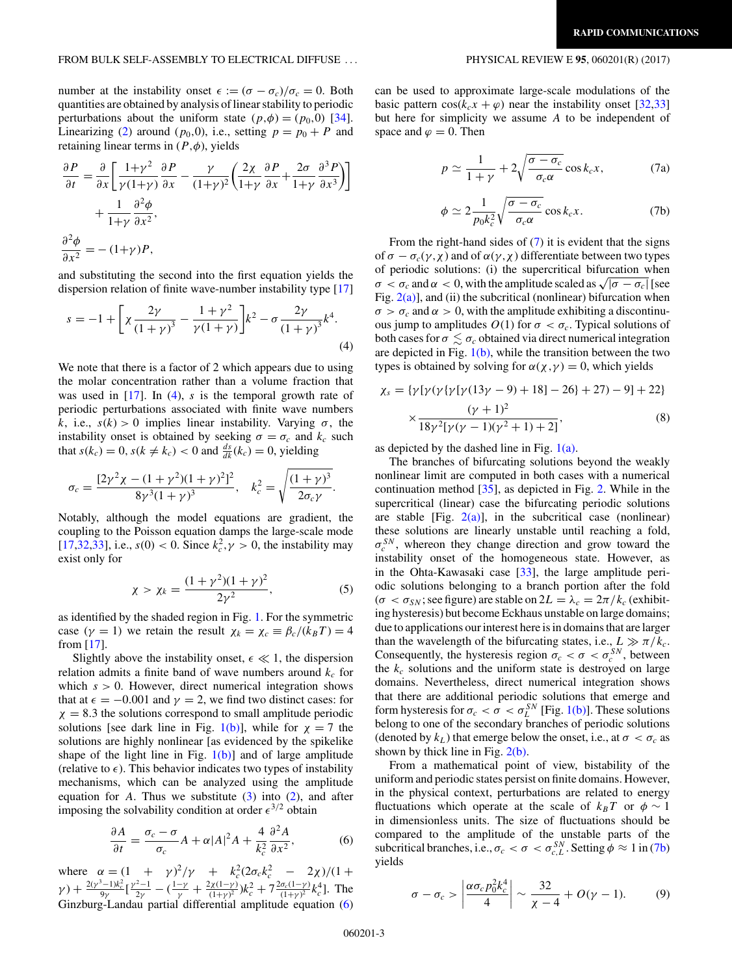<span id="page-2-0"></span>number at the instability onset  $\epsilon := (\sigma - \sigma_c)/\sigma_c = 0$ . Both quantities are obtained by analysis of linear stability to periodic perturbations about the uniform state  $(p, \phi) = (p_0, 0)$  [\[34\]](#page-4-0). Linearizing [\(2\)](#page-1-0) around ( $p_0$ ,0), i.e., setting  $p = p_0 + P$  and retaining linear terms in (*P ,φ*), yields

$$
\frac{\partial P}{\partial t} = \frac{\partial}{\partial x} \left[ \frac{1+\gamma^2}{\gamma(1+\gamma)} \frac{\partial P}{\partial x} - \frac{\gamma}{(1+\gamma)^2} \left( \frac{2\chi}{1+\gamma} \frac{\partial P}{\partial x} + \frac{2\sigma}{1+\gamma} \frac{\partial^3 P}{\partial x^3} \right) \right] + \frac{1}{1+\gamma} \frac{\partial^2 \phi}{\partial x^2},
$$
  

$$
\frac{\partial^2 \phi}{\partial x^2} = -(1+\gamma)P,
$$

and substituting the second into the first equation yields the dispersion relation of finite wave-number instability type [\[17\]](#page-4-0)

$$
s = -1 + \left[ \chi \frac{2\gamma}{\left(1+\gamma\right)^3} - \frac{1+\gamma^2}{\gamma(1+\gamma)} \right] k^2 - \sigma \frac{2\gamma}{\left(1+\gamma\right)^3} k^4. \tag{4}
$$

We note that there is a factor of 2 which appears due to using the molar concentration rather than a volume fraction that was used in [\[17\]](#page-4-0). In (4), *s* is the temporal growth rate of periodic perturbations associated with finite wave numbers *k*, i.e.,  $s(k) > 0$  implies linear instability. Varying  $\sigma$ , the instability onset is obtained by seeking  $\sigma = \sigma_c$  and  $k_c$  such that  $s(k_c) = 0$ ,  $s(k \neq k_c) < 0$  and  $\frac{ds}{dk}(k_c) = 0$ , yielding

$$
\sigma_c = \frac{[2\gamma^2 \chi - (1 + \gamma^2)(1 + \gamma)^2]^2}{8\gamma^3(1 + \gamma)^3}, \quad k_c^2 = \sqrt{\frac{(1 + \gamma)^3}{2\sigma_c \gamma}}.
$$

Notably, although the model equations are gradient, the coupling to the Poisson equation damps the large-scale mode [\[17,32,33\]](#page-4-0), i.e.,  $s(0) < 0$ . Since  $k_c^2$ ,  $\gamma > 0$ , the instability may exist only for

$$
\chi > \chi_k = \frac{(1+\gamma^2)(1+\gamma)^2}{2\gamma^2},\tag{5}
$$

as identified by the shaded region in Fig. [1.](#page-1-0) For the symmetric case  $(\gamma = 1)$  we retain the result  $\chi_k = \chi_c \equiv \beta_c / (k_B T) = 4$ from [\[17\]](#page-4-0).

Slightly above the instability onset,  $\epsilon \ll 1$ , the dispersion relation admits a finite band of wave numbers around  $k_c$  for which  $s > 0$ . However, direct numerical integration shows that at  $\epsilon = -0.001$  and  $\gamma = 2$ , we find two distinct cases: for  $\chi = 8.3$  the solutions correspond to small amplitude periodic solutions [see dark line in Fig.  $1(b)$ ], while for  $\gamma = 7$  the solutions are highly nonlinear [as evidenced by the spikelike shape of the light line in Fig.  $1(b)$ ] and of large amplitude (relative to  $\epsilon$ ). This behavior indicates two types of instability mechanisms, which can be analyzed using the amplitude equation for  $A$ . Thus we substitute  $(3)$  into  $(2)$ , and after imposing the solvability condition at order  $\epsilon^{3/2}$  obtain

$$
\frac{\partial A}{\partial t} = \frac{\sigma_c - \sigma}{\sigma_c} A + \alpha |A|^2 A + \frac{4}{k_c^2} \frac{\partial^2 A}{\partial x^2},\tag{6}
$$

where  $\alpha = (1 + \gamma)^2 / \gamma + k_c^2 (2\sigma_c k_c^2 - 2\chi)/(1 + \gamma^2)$  $\gamma$ ) +  $\frac{2(y^3-1)k_c^2}{9\gamma}$  [ $\frac{y^2-1}{2\gamma}$  - ( $\frac{1-\gamma}{\gamma}$  +  $\frac{2\chi(1-\gamma)}{(1+\gamma)^2}$ ) $k_c^2$  +  $7\frac{2\sigma_c(1-\gamma)}{(1+\gamma)^2}$  $k_c^4$ ]. The Ginzburg-Landau partial differential amplitude equation (6)

can be used to approximate large-scale modulations of the basic pattern  $cos(k_c x + \varphi)$  near the instability onset [\[32,33\]](#page-4-0) but here for simplicity we assume *A* to be independent of space and  $\varphi = 0$ . Then

$$
p \simeq \frac{1}{1+\gamma} + 2\sqrt{\frac{\sigma - \sigma_c}{\sigma_c \alpha}} \cos k_c x, \tag{7a}
$$

$$
\phi \simeq 2 \frac{1}{p_0 k_c^2} \sqrt{\frac{\sigma - \sigma_c}{\sigma_c \alpha}} \cos k_c x. \tag{7b}
$$

From the right-hand sides of (7) it is evident that the signs of *σ* − *σc*(*γ ,χ*) and of *α*(*γ ,χ*) differentiate between two types of periodic solutions: (i) the supercritical bifurcation when  $\sigma < \sigma_c$  and  $\alpha < 0$ , with the amplitude scaled as  $\sqrt{|\sigma - \sigma_c|}$  [see Fig.  $2(a)$ ], and (ii) the subcritical (nonlinear) bifurcation when  $\sigma > \sigma_c$  and  $\alpha > 0$ , with the amplitude exhibiting a discontinuous jump to amplitudes  $O(1)$  for  $\sigma < \sigma_c$ . Typical solutions of both cases for  $\sigma \lesssim \sigma_c$  obtained via direct numerical integration are depicted in Fig.  $1(b)$ , while the transition between the two types is obtained by solving for  $\alpha(\chi, \gamma) = 0$ , which yields

$$
\chi_s = \{\gamma[\gamma(\gamma[\gamma(13\gamma - 9) + 18] - 26] + 27) - 9] + 22\}
$$
  
 
$$
\times \frac{(\gamma + 1)^2}{18\gamma^2[\gamma(\gamma - 1)(\gamma^2 + 1) + 2]},
$$
 (8)

as depicted by the dashed line in Fig.  $1(a)$ .

The branches of bifurcating solutions beyond the weakly nonlinear limit are computed in both cases with a numerical continuation method [\[35\]](#page-4-0), as depicted in Fig. [2.](#page-3-0) While in the supercritical (linear) case the bifurcating periodic solutions are stable [Fig.  $2(a)$ ], in the subcritical case (nonlinear) these solutions are linearly unstable until reaching a fold,  $\sigma_c^{SN}$ , whereon they change direction and grow toward the instability onset of the homogeneous state. However, as in the Ohta-Kawasaki case [\[33\]](#page-4-0), the large amplitude periodic solutions belonging to a branch portion after the fold  $(\sigma < \sigma_{SN}$ ; see figure) are stable on  $2L = \lambda_c = 2\pi/k_c$  (exhibiting hysteresis) but become Eckhaus unstable on large domains; due to applications our interest here is in domains that are larger than the wavelength of the bifurcating states, i.e.,  $L \gg \pi/k_c$ . Consequently, the hysteresis region  $\sigma_c < \sigma < \sigma_c^{SN}$ , between the  $k_c$  solutions and the uniform state is destroyed on large domains. Nevertheless, direct numerical integration shows that there are additional periodic solutions that emerge and form hysteresis for  $\sigma_c < \sigma < \sigma_L^{SN}$  [Fig. [1\(b\)\]](#page-1-0). These solutions belong to one of the secondary branches of periodic solutions (denoted by  $k_L$ ) that emerge below the onset, i.e., at  $\sigma < \sigma_c$  as shown by thick line in Fig. [2\(b\).](#page-3-0)

From a mathematical point of view, bistability of the uniform and periodic states persist on finite domains. However, in the physical context, perturbations are related to energy fluctuations which operate at the scale of  $k_B T$  or  $\phi \sim 1$ in dimensionless units. The size of fluctuations should be compared to the amplitude of the unstable parts of the subcritical branches, i.e.,  $\sigma_c < \sigma < \sigma_{c,L}^{SN}$ . Setting  $\dot{\phi} \approx 1$  in (7b) yields

$$
\sigma - \sigma_c > \left| \frac{\alpha \sigma_c p_0^2 k_c^4}{4} \right| \sim \frac{32}{\chi - 4} + O(\gamma - 1). \tag{9}
$$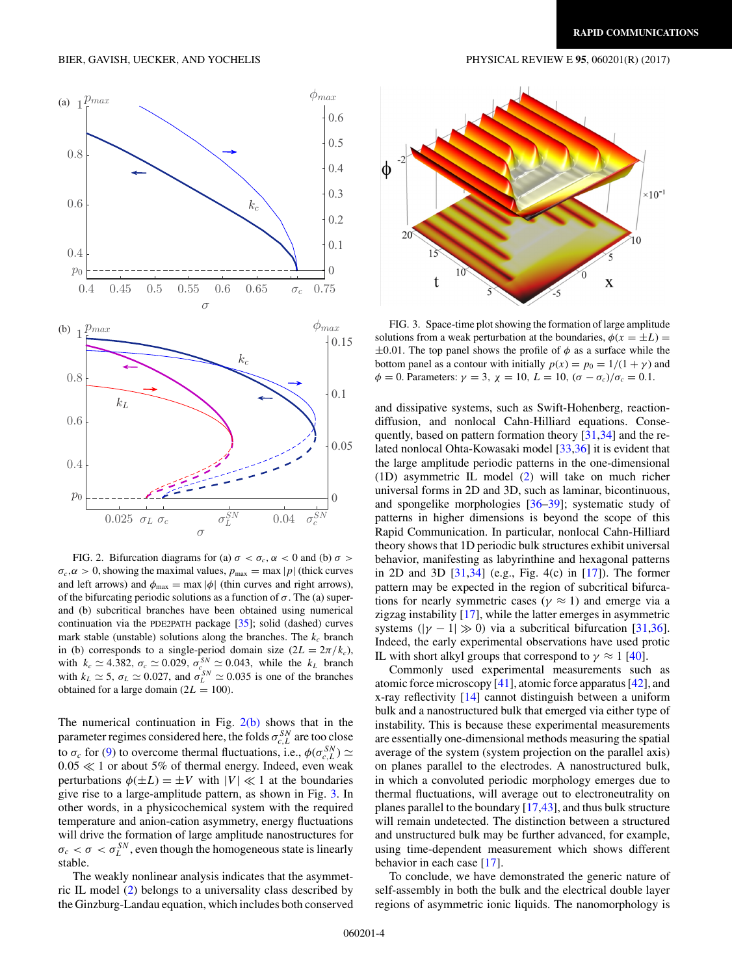<span id="page-3-0"></span>

FIG. 2. Bifurcation diagrams for (a)  $\sigma < \sigma_c$ ,  $\alpha < 0$  and (b)  $\sigma >$  $\sigma_c$ ,  $\alpha > 0$ , showing the maximal values,  $p_{\text{max}} = \max |p|$  (thick curves and left arrows) and  $\phi_{\text{max}} = \max |\phi|$  (thin curves and right arrows), of the bifurcating periodic solutions as a function of  $\sigma$ . The (a) superand (b) subcritical branches have been obtained using numerical continuation via the PDE2PATH package [\[35\]](#page-4-0); solid (dashed) curves mark stable (unstable) solutions along the branches. The  $k_c$  branch in (b) corresponds to a single-period domain size  $(2L = 2\pi/k_c)$ , with  $k_c \approx 4.382$ ,  $\sigma_c \approx 0.029$ ,  $\sigma_{c}^{SN} \approx 0.043$ , while the  $k_L$  branch with  $k_L \approx 5$ ,  $\sigma_L \approx 0.027$ , and  $\sigma_L^{SN} \approx 0.035$  is one of the branches obtained for a large domain  $(2L = 100)$ .

The numerical continuation in Fig.  $2(b)$  shows that in the parameter regimes considered here, the folds  $\sigma_{c,L}^{SN}$  are too close to  $\sigma_c$  for [\(9\)](#page-2-0) to overcome thermal fluctuations, i.e.,  $\phi(\sigma_{c,L}^{SN}) \simeq$  $0.05 \ll 1$  or about 5% of thermal energy. Indeed, even weak perturbations  $\phi(\pm L) = \pm V$  with  $|V| \ll 1$  at the boundaries give rise to a large-amplitude pattern, as shown in Fig. 3. In other words, in a physicochemical system with the required temperature and anion-cation asymmetry, energy fluctuations will drive the formation of large amplitude nanostructures for  $\sigma_c < \sigma < \sigma_L^{SN}$ , even though the homogeneous state is linearly stable.

The weakly nonlinear analysis indicates that the asymmetric IL model [\(2\)](#page-1-0) belongs to a universality class described by the Ginzburg-Landau equation, which includes both conserved



FIG. 3. Space-time plot showing the formation of large amplitude solutions from a weak perturbation at the boundaries,  $\phi(x = \pm L)$  =  $\pm 0.01$ . The top panel shows the profile of  $\phi$  as a surface while the bottom panel as a contour with initially  $p(x) = p_0 = 1/(1 + \gamma)$  and  $\phi = 0$ . Parameters:  $\gamma = 3$ ,  $\chi = 10$ ,  $L = 10$ ,  $(\sigma - \sigma_c)/\sigma_c = 0.1$ .

and dissipative systems, such as Swift-Hohenberg, reactiondiffusion, and nonlocal Cahn-Hilliard equations. Consequently, based on pattern formation theory [\[31,34\]](#page-4-0) and the related nonlocal Ohta-Kowasaki model [\[33,36\]](#page-4-0) it is evident that the large amplitude periodic patterns in the one-dimensional (1D) asymmetric IL model [\(2\)](#page-1-0) will take on much richer universal forms in 2D and 3D, such as laminar, bicontinuous, and spongelike morphologies [\[36](#page-4-0)[–39\]](#page-5-0); systematic study of patterns in higher dimensions is beyond the scope of this Rapid Communication. In particular, nonlocal Cahn-Hilliard theory shows that 1D periodic bulk structures exhibit universal behavior, manifesting as labyrinthine and hexagonal patterns in 2D and 3D [\[31,34\]](#page-4-0) (e.g., Fig. 4(c) in [\[17\]](#page-4-0)). The former pattern may be expected in the region of subcritical bifurcations for nearly symmetric cases ( $\gamma \approx 1$ ) and emerge via a zigzag instability [\[17\]](#page-4-0), while the latter emerges in asymmetric systems ( $|\gamma - 1| \gg 0$ ) via a subcritical bifurcation [\[31,36\]](#page-4-0). Indeed, the early experimental observations have used protic IL with short alkyl groups that correspond to  $\gamma \approx 1$  [\[40\]](#page-5-0).

Commonly used experimental measurements such as atomic force microscopy  $[41]$ , atomic force apparatus  $[42]$ , and x-ray reflectivity [\[14\]](#page-4-0) cannot distinguish between a uniform bulk and a nanostructured bulk that emerged via either type of instability. This is because these experimental measurements are essentially one-dimensional methods measuring the spatial average of the system (system projection on the parallel axis) on planes parallel to the electrodes. A nanostructured bulk, in which a convoluted periodic morphology emerges due to thermal fluctuations, will average out to electroneutrality on planes parallel to the boundary [\[17,](#page-4-0)[43\]](#page-5-0), and thus bulk structure will remain undetected. The distinction between a structured and unstructured bulk may be further advanced, for example, using time-dependent measurement which shows different behavior in each case [\[17\]](#page-4-0).

To conclude, we have demonstrated the generic nature of self-assembly in both the bulk and the electrical double layer regions of asymmetric ionic liquids. The nanomorphology is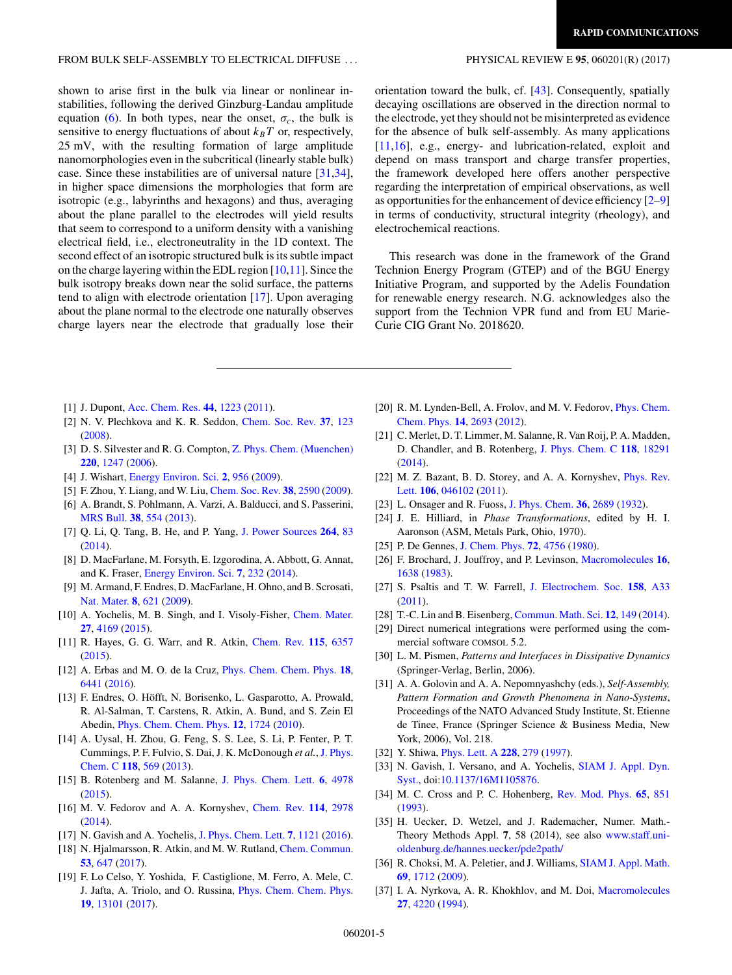#### <span id="page-4-0"></span>FROM BULK SELF-ASSEMBLY TO ELECTRICAL DIFFUSE . . . PHYSICAL REVIEW E **95**, 060201(R) (2017)

## shown to arise first in the bulk via linear or nonlinear instabilities, following the derived Ginzburg-Landau amplitude equation [\(6\)](#page-2-0). In both types, near the onset,  $\sigma_c$ , the bulk is sensitive to energy fluctuations of about  $k_B T$  or, respectively, 25 mV, with the resulting formation of large amplitude nanomorphologies even in the subcritical (linearly stable bulk) case. Since these instabilities are of universal nature [31,34], in higher space dimensions the morphologies that form are isotropic (e.g., labyrinths and hexagons) and thus, averaging about the plane parallel to the electrodes will yield results that seem to correspond to a uniform density with a vanishing electrical field, i.e., electroneutrality in the 1D context. The second effect of an isotropic structured bulk is its subtle impact on the charge layering within the EDL region [10,11]. Since the bulk isotropy breaks down near the solid surface, the patterns tend to align with electrode orientation [17]. Upon averaging about the plane normal to the electrode one naturally observes charge layers near the electrode that gradually lose their

orientation toward the bulk, cf. [\[43\]](#page-5-0). Consequently, spatially decaying oscillations are observed in the direction normal to the electrode, yet they should not be misinterpreted as evidence for the absence of bulk self-assembly. As many applications [11,16], e.g., energy- and lubrication-related, exploit and depend on mass transport and charge transfer properties, the framework developed here offers another perspective regarding the interpretation of empirical observations, as well as opportunities for the enhancement of device efficiency [2–9] in terms of conductivity, structural integrity (rheology), and electrochemical reactions.

This research was done in the framework of the Grand Technion Energy Program (GTEP) and of the BGU Energy Initiative Program, and supported by the Adelis Foundation for renewable energy research. N.G. acknowledges also the support from the Technion VPR fund and from EU Marie-Curie CIG Grant No. 2018620.

- [1] J. Dupont, [Acc. Chem. Res.](https://doi.org/10.1021/ar2000937) **[44](https://doi.org/10.1021/ar2000937)**, [1223](https://doi.org/10.1021/ar2000937) [\(2011\)](https://doi.org/10.1021/ar2000937).
- [2] N. V. Plechkova and K. R. Seddon, [Chem. Soc. Rev.](https://doi.org/10.1039/B006677J) **[37](https://doi.org/10.1039/B006677J)**, [123](https://doi.org/10.1039/B006677J) [\(2008\)](https://doi.org/10.1039/B006677J).
- [3] D. S. Silvester and R. G. Compton, [Z. Phys. Chem. \(Muenchen\)](https://doi.org/10.1524/zpch.2006.220.10.1247) **[220](https://doi.org/10.1524/zpch.2006.220.10.1247)**, [1247](https://doi.org/10.1524/zpch.2006.220.10.1247) [\(2006\)](https://doi.org/10.1524/zpch.2006.220.10.1247).
- [4] J. Wishart, [Energy Environ. Sci.](https://doi.org/10.1039/b906273d) **[2](https://doi.org/10.1039/b906273d)**, [956](https://doi.org/10.1039/b906273d) [\(2009\)](https://doi.org/10.1039/b906273d).
- [5] F. Zhou, Y. Liang, and W. Liu, [Chem. Soc. Rev.](https://doi.org/10.1039/b817899m) **[38](https://doi.org/10.1039/b817899m)**, [2590](https://doi.org/10.1039/b817899m) [\(2009\)](https://doi.org/10.1039/b817899m).
- [6] A. Brandt, S. Pohlmann, A. Varzi, A. Balducci, and S. Passerini, [MRS Bull.](https://doi.org/10.1557/mrs.2013.151) **[38](https://doi.org/10.1557/mrs.2013.151)**, [554](https://doi.org/10.1557/mrs.2013.151) [\(2013\)](https://doi.org/10.1557/mrs.2013.151).
- [7] Q. Li, Q. Tang, B. He, and P. Yang, [J. Power Sources](https://doi.org/10.1016/j.jpowsour.2014.04.095) **[264](https://doi.org/10.1016/j.jpowsour.2014.04.095)**, [83](https://doi.org/10.1016/j.jpowsour.2014.04.095) [\(2014\)](https://doi.org/10.1016/j.jpowsour.2014.04.095).
- [8] D. MacFarlane, M. Forsyth, E. Izgorodina, A. Abbott, G. Annat, and K. Fraser, [Energy Environ. Sci.](https://doi.org/10.1039/C3EE42099J) **[7](https://doi.org/10.1039/C3EE42099J)**, [232](https://doi.org/10.1039/C3EE42099J) [\(2014\)](https://doi.org/10.1039/C3EE42099J).
- [9] M. Armand, F. Endres, D. MacFarlane, H. Ohno, and B. Scrosati, [Nat. Mater.](https://doi.org/10.1038/nmat2448) **[8](https://doi.org/10.1038/nmat2448)**, [621](https://doi.org/10.1038/nmat2448) [\(2009\)](https://doi.org/10.1038/nmat2448).
- [10] A. Yochelis, M. B. Singh, and I. Visoly-Fisher, [Chem. Mater.](https://doi.org/10.1021/acs.chemmater.5b00780) **[27](https://doi.org/10.1021/acs.chemmater.5b00780)**, [4169](https://doi.org/10.1021/acs.chemmater.5b00780) [\(2015\)](https://doi.org/10.1021/acs.chemmater.5b00780).
- [11] R. Hayes, G. G. Warr, and R. Atkin, [Chem. Rev.](https://doi.org/10.1021/cr500411q) **[115](https://doi.org/10.1021/cr500411q)**, [6357](https://doi.org/10.1021/cr500411q) [\(2015\)](https://doi.org/10.1021/cr500411q).
- [12] A. Erbas and M. O. de la Cruz, [Phys. Chem. Chem. Phys.](https://doi.org/10.1039/C5CP07090B) **[18](https://doi.org/10.1039/C5CP07090B)**, [6441](https://doi.org/10.1039/C5CP07090B) [\(2016\)](https://doi.org/10.1039/C5CP07090B).
- [13] F. Endres, O. Höfft, N. Borisenko, L. Gasparotto, A. Prowald, R. Al-Salman, T. Carstens, R. Atkin, A. Bund, and S. Zein El Abedin, [Phys. Chem. Chem. Phys.](https://doi.org/10.1039/b923527m) **[12](https://doi.org/10.1039/b923527m)**, [1724](https://doi.org/10.1039/b923527m) [\(2010\)](https://doi.org/10.1039/b923527m).
- [14] A. Uysal, H. Zhou, G. Feng, S. S. Lee, S. Li, P. Fenter, P. T. [Cummings, P. F. Fulvio, S. Dai, J. K. McDonough](https://doi.org/10.1021/jp4111025) *et al.*, J. Phys. Chem. C **[118](https://doi.org/10.1021/jp4111025)**, [569](https://doi.org/10.1021/jp4111025) [\(2013\)](https://doi.org/10.1021/jp4111025).
- [15] B. Rotenberg and M. Salanne, [J. Phys. Chem. Lett.](https://doi.org/10.1021/acs.jpclett.5b01889) **[6](https://doi.org/10.1021/acs.jpclett.5b01889)**, [4978](https://doi.org/10.1021/acs.jpclett.5b01889) [\(2015\)](https://doi.org/10.1021/acs.jpclett.5b01889).
- [16] M. V. Fedorov and A. A. Kornyshev, [Chem. Rev.](https://doi.org/10.1021/cr400374x) **[114](https://doi.org/10.1021/cr400374x)**, [2978](https://doi.org/10.1021/cr400374x) [\(2014\)](https://doi.org/10.1021/cr400374x).
- [17] N. Gavish and A. Yochelis, [J. Phys. Chem. Lett.](https://doi.org/10.1021/acs.jpclett.6b00370) **[7](https://doi.org/10.1021/acs.jpclett.6b00370)**, [1121](https://doi.org/10.1021/acs.jpclett.6b00370) [\(2016\)](https://doi.org/10.1021/acs.jpclett.6b00370).
- [18] N. Hjalmarsson, R. Atkin, and M. W. Rutland, [Chem. Commun.](https://doi.org/10.1039/C6CC07396D) **[53](https://doi.org/10.1039/C6CC07396D)**, [647](https://doi.org/10.1039/C6CC07396D) [\(2017\)](https://doi.org/10.1039/C6CC07396D).
- [19] F. Lo Celso, Y. Yoshida, F. Castiglione, M. Ferro, A. Mele, C. J. Jafta, A. Triolo, and O. Russina, [Phys. Chem. Chem. Phys.](https://doi.org/10.1039/c7cp01971h) **[19](https://doi.org/10.1039/c7cp01971h)**, [13101](https://doi.org/10.1039/c7cp01971h) [\(2017\)](https://doi.org/10.1039/c7cp01971h).
- [20] [R. M. Lynden-Bell, A. Frolov, and M. V. Fedorov,](https://doi.org/10.1039/c2cp23267g) Phys. Chem. Chem. Phys. **[14](https://doi.org/10.1039/c2cp23267g)**, [2693](https://doi.org/10.1039/c2cp23267g) [\(2012\)](https://doi.org/10.1039/c2cp23267g).
- [21] C. Merlet, D. T. Limmer, M. Salanne, R. Van Roij, P. A. Madden, D. Chandler, and B. Rotenberg, [J. Phys. Chem. C](https://doi.org/10.1021/jp503224w) **[118](https://doi.org/10.1021/jp503224w)**, [18291](https://doi.org/10.1021/jp503224w) [\(2014\)](https://doi.org/10.1021/jp503224w).
- [22] [M. Z. Bazant, B. D. Storey, and A. A. Kornyshev,](https://doi.org/10.1103/PhysRevLett.106.046102) Phys. Rev. Lett. **[106](https://doi.org/10.1103/PhysRevLett.106.046102)**, [046102](https://doi.org/10.1103/PhysRevLett.106.046102) [\(2011\)](https://doi.org/10.1103/PhysRevLett.106.046102).
- [23] L. Onsager and R. Fuoss, [J. Phys. Chem.](https://doi.org/10.1021/j150341a001) **[36](https://doi.org/10.1021/j150341a001)**, [2689](https://doi.org/10.1021/j150341a001) [\(1932\)](https://doi.org/10.1021/j150341a001).
- [24] J. E. Hilliard, in *Phase Transformations*, edited by H. I. Aaronson (ASM, Metals Park, Ohio, 1970).
- [25] P. De Gennes, [J. Chem. Phys.](https://doi.org/10.1063/1.439809) **[72](https://doi.org/10.1063/1.439809)**, [4756](https://doi.org/10.1063/1.439809) [\(1980\)](https://doi.org/10.1063/1.439809).
- [26] F. Brochard, J. Jouffroy, and P. Levinson, [Macromolecules](https://doi.org/10.1021/ma00244a016) **[16](https://doi.org/10.1021/ma00244a016)**, [1638](https://doi.org/10.1021/ma00244a016) [\(1983\)](https://doi.org/10.1021/ma00244a016).
- [27] S. Psaltis and T. W. Farrell, [J. Electrochem. Soc.](https://doi.org/10.1149/1.3509776) **[158](https://doi.org/10.1149/1.3509776)**, [A33](https://doi.org/10.1149/1.3509776) [\(2011\)](https://doi.org/10.1149/1.3509776).
- [28] T.-C. Lin and B. Eisenberg, [Commun. Math. Sci.](https://doi.org/10.4310/CMS.2014.v12.n1.a7) **[12](https://doi.org/10.4310/CMS.2014.v12.n1.a7)**, [149](https://doi.org/10.4310/CMS.2014.v12.n1.a7) [\(2014\)](https://doi.org/10.4310/CMS.2014.v12.n1.a7).
- [29] Direct numerical integrations were performed using the commercial software COMSOL 5.2.
- [30] L. M. Pismen, *Patterns and Interfaces in Dissipative Dynamics* (Springer-Verlag, Berlin, 2006).
- [31] A. A. Golovin and A. A. Nepomnyashchy (eds.), *Self-Assembly, Pattern Formation and Growth Phenomena in Nano-Systems*, Proceedings of the NATO Advanced Study Institute, St. Etienne de Tinee, France (Springer Science & Business Media, New York, 2006), Vol. 218.
- [32] Y. Shiwa, [Phys. Lett. A](https://doi.org/10.1016/S0375-9601(97)00128-X) **[228](https://doi.org/10.1016/S0375-9601(97)00128-X)**, [279](https://doi.org/10.1016/S0375-9601(97)00128-X) [\(1997\)](https://doi.org/10.1016/S0375-9601(97)00128-X).
- [33] [N. Gavish, I. Versano, and A. Yochelis,](https://doi.org/10.1137/16M1105876) SIAM J. Appl. Dyn. Syst., doi[:10.1137/16M1105876.](https://doi.org/10.1137/16M1105876)
- [34] M. C. Cross and P. C. Hohenberg, [Rev. Mod. Phys.](https://doi.org/10.1103/RevModPhys.65.851) **[65](https://doi.org/10.1103/RevModPhys.65.851)**, [851](https://doi.org/10.1103/RevModPhys.65.851) [\(1993\)](https://doi.org/10.1103/RevModPhys.65.851).
- [35] H. Uecker, D. Wetzel, and J. Rademacher, Numer. Math.- Theory Methods Appl. **7**, 58 (2014), see also www.staff.uni[oldenburg.de/hannes.uecker/pde2path/](http://www.staff.uni-oldenburg.de/hannes.uecker/pde2path/)
- [36] R. Choksi, M. A. Peletier, and J. Williams, [SIAM J. Appl. Math.](https://doi.org/10.1137/080728809) **[69](https://doi.org/10.1137/080728809)**, [1712](https://doi.org/10.1137/080728809) [\(2009\)](https://doi.org/10.1137/080728809).
- [37] I. A. Nyrkova, A. R. Khokhlov, and M. Doi, [Macromolecules](https://doi.org/10.1021/ma00093a025) **[27](https://doi.org/10.1021/ma00093a025)**, [4220](https://doi.org/10.1021/ma00093a025) [\(1994\)](https://doi.org/10.1021/ma00093a025).